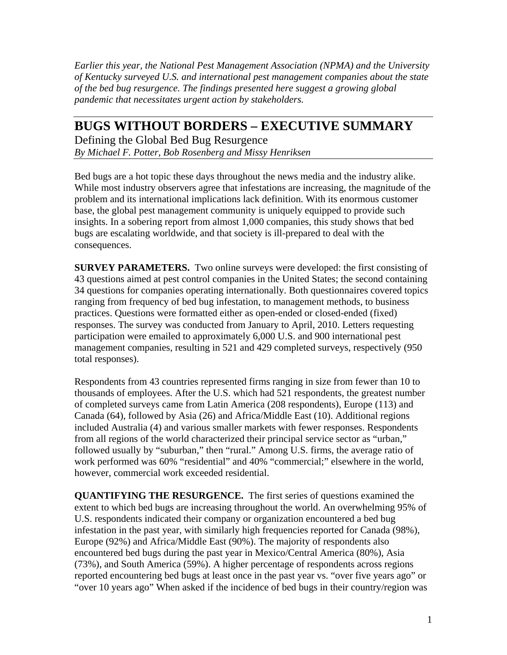*Earlier this year, the National Pest Management Association (NPMA) and the University of Kentucky surveyed U.S. and international pest management companies about the state of the bed bug resurgence. The findings presented here suggest a growing global pandemic that necessitates urgent action by stakeholders.* 

## **BUGS WITHOUT BORDERS – EXECUTIVE SUMMARY**

Defining the Global Bed Bug Resurgence *By Michael F. Potter, Bob Rosenberg and Missy Henriksen* 

Bed bugs are a hot topic these days throughout the news media and the industry alike. While most industry observers agree that infestations are increasing, the magnitude of the problem and its international implications lack definition. With its enormous customer base, the global pest management community is uniquely equipped to provide such insights. In a sobering report from almost 1,000 companies, this study shows that bed bugs are escalating worldwide, and that society is ill-prepared to deal with the consequences.

**SURVEY PARAMETERS.** Two online surveys were developed: the first consisting of 43 questions aimed at pest control companies in the United States; the second containing 34 questions for companies operating internationally. Both questionnaires covered topics ranging from frequency of bed bug infestation, to management methods, to business practices. Questions were formatted either as open-ended or closed-ended (fixed) responses. The survey was conducted from January to April, 2010. Letters requesting participation were emailed to approximately 6,000 U.S. and 900 international pest management companies, resulting in 521 and 429 completed surveys, respectively (950 total responses).

Respondents from 43 countries represented firms ranging in size from fewer than 10 to thousands of employees. After the U.S. which had 521 respondents, the greatest number of completed surveys came from Latin America (208 respondents), Europe (113) and Canada (64), followed by Asia (26) and Africa/Middle East (10). Additional regions included Australia (4) and various smaller markets with fewer responses. Respondents from all regions of the world characterized their principal service sector as "urban," followed usually by "suburban," then "rural." Among U.S. firms, the average ratio of work performed was 60% "residential" and 40% "commercial;" elsewhere in the world, however, commercial work exceeded residential.

**QUANTIFYING THE RESURGENCE.** The first series of questions examined the extent to which bed bugs are increasing throughout the world. An overwhelming 95% of U.S. respondents indicated their company or organization encountered a bed bug infestation in the past year, with similarly high frequencies reported for Canada (98%), Europe (92%) and Africa/Middle East (90%). The majority of respondents also encountered bed bugs during the past year in Mexico/Central America (80%), Asia (73%), and South America (59%). A higher percentage of respondents across regions reported encountering bed bugs at least once in the past year vs. "over five years ago" or "over 10 years ago" When asked if the incidence of bed bugs in their country/region was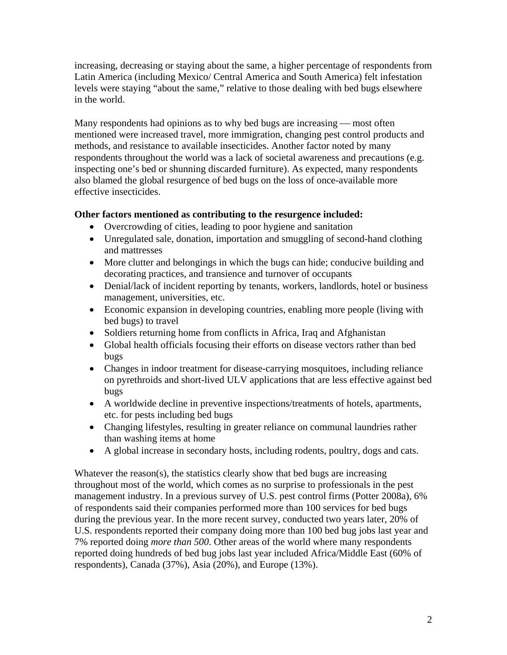increasing, decreasing or staying about the same, a higher percentage of respondents from Latin America (including Mexico/ Central America and South America) felt infestation levels were staying "about the same," relative to those dealing with bed bugs elsewhere in the world.

Many respondents had opinions as to why bed bugs are increasing — most often mentioned were increased travel, more immigration, changing pest control products and methods, and resistance to available insecticides. Another factor noted by many respondents throughout the world was a lack of societal awareness and precautions (e.g. inspecting one's bed or shunning discarded furniture). As expected, many respondents also blamed the global resurgence of bed bugs on the loss of once-available more effective insecticides.

## **Other factors mentioned as contributing to the resurgence included:**

- Overcrowding of cities, leading to poor hygiene and sanitation
- Unregulated sale, donation, importation and smuggling of second-hand clothing and mattresses
- More clutter and belongings in which the bugs can hide; conducive building and decorating practices, and transience and turnover of occupants
- Denial/lack of incident reporting by tenants, workers, landlords, hotel or business management, universities, etc.
- Economic expansion in developing countries, enabling more people (living with bed bugs) to travel
- Soldiers returning home from conflicts in Africa, Iraq and Afghanistan
- Global health officials focusing their efforts on disease vectors rather than bed bugs
- Changes in indoor treatment for disease-carrying mosquitoes, including reliance on pyrethroids and short-lived ULV applications that are less effective against bed bugs
- A worldwide decline in preventive inspections/treatments of hotels, apartments, etc. for pests including bed bugs
- Changing lifestyles, resulting in greater reliance on communal laundries rather than washing items at home
- A global increase in secondary hosts, including rodents, poultry, dogs and cats.

Whatever the reason(s), the statistics clearly show that bed bugs are increasing throughout most of the world, which comes as no surprise to professionals in the pest management industry. In a previous survey of U.S. pest control firms (Potter 2008a), 6% of respondents said their companies performed more than 100 services for bed bugs during the previous year. In the more recent survey, conducted two years later, 20% of U.S. respondents reported their company doing more than 100 bed bug jobs last year and 7% reported doing *more than 500*. Other areas of the world where many respondents reported doing hundreds of bed bug jobs last year included Africa/Middle East (60% of respondents), Canada (37%), Asia (20%), and Europe (13%).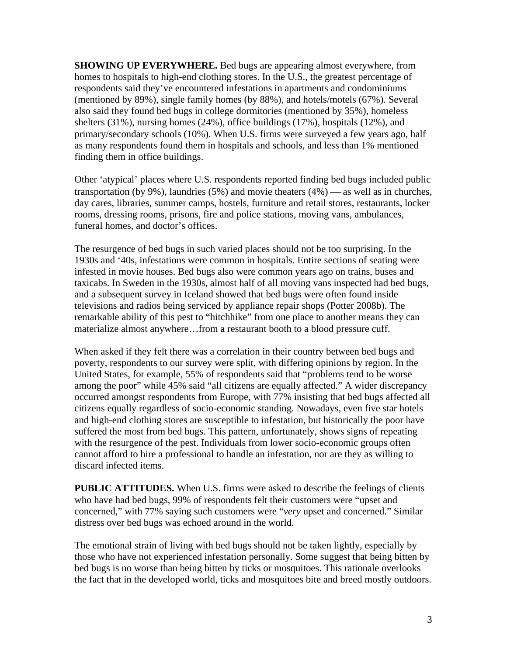**SHOWING UP EVERYWHERE.** Bed bugs are appearing almost everywhere, from homes to hospitals to high-end clothing stores. In the U.S., the greatest percentage of respondents said they've encountered infestations in apartments and condominiums (mentioned by 89%), single family homes (by 88%), and hotels/motels (67%). Several also said they found bed bugs in college dormitories (mentioned by 35%), homeless shelters (31%), nursing homes (24%), office buildings (17%), hospitals (12%), and primary/secondary schools (10%). When U.S. firms were surveyed a few years ago, half as many respondents found them in hospitals and schools, and less than 1% mentioned finding them in office buildings.

Other 'atypical' places where U.S. respondents reported finding bed bugs included public transportation (by 9%), laundries (5%) and movie theaters  $(4\%)$  — as well as in churches, day cares, libraries, summer camps, hostels, furniture and retail stores, restaurants, locker rooms, dressing rooms, prisons, fire and police stations, moving vans, ambulances, funeral homes, and doctor's offices.

The resurgence of bed bugs in such varied places should not be too surprising. In the 1930s and '40s, infestations were common in hospitals. Entire sections of seating were infested in movie houses. Bed bugs also were common years ago on trains, buses and taxicabs. In Sweden in the 1930s, almost half of all moving vans inspected had bed bugs, and a subsequent survey in Iceland showed that bed bugs were often found inside televisions and radios being serviced by appliance repair shops (Potter 2008b). The remarkable ability of this pest to "hitchhike" from one place to another means they can materialize almost anywhere…from a restaurant booth to a blood pressure cuff.

When asked if they felt there was a correlation in their country between bed bugs and poverty, respondents to our survey were split, with differing opinions by region. In the United States, for example, 55% of respondents said that "problems tend to be worse among the poor" while 45% said "all citizens are equally affected." A wider discrepancy occurred amongst respondents from Europe, with 77% insisting that bed bugs affected all citizens equally regardless of socio-economic standing. Nowadays, even five star hotels and high-end clothing stores are susceptible to infestation, but historically the poor have suffered the most from bed bugs. This pattern, unfortunately, shows signs of repeating with the resurgence of the pest. Individuals from lower socio-economic groups often cannot afford to hire a professional to handle an infestation, nor are they as willing to discard infected items.

**PUBLIC ATTITUDES.** When U.S. firms were asked to describe the feelings of clients who have had bed bugs, 99% of respondents felt their customers were "upset and concerned," with 77% saying such customers were "*very* upset and concerned." Similar distress over bed bugs was echoed around in the world.

The emotional strain of living with bed bugs should not be taken lightly, especially by those who have not experienced infestation personally. Some suggest that being bitten by bed bugs is no worse than being bitten by ticks or mosquitoes. This rationale overlooks the fact that in the developed world, ticks and mosquitoes bite and breed mostly outdoors.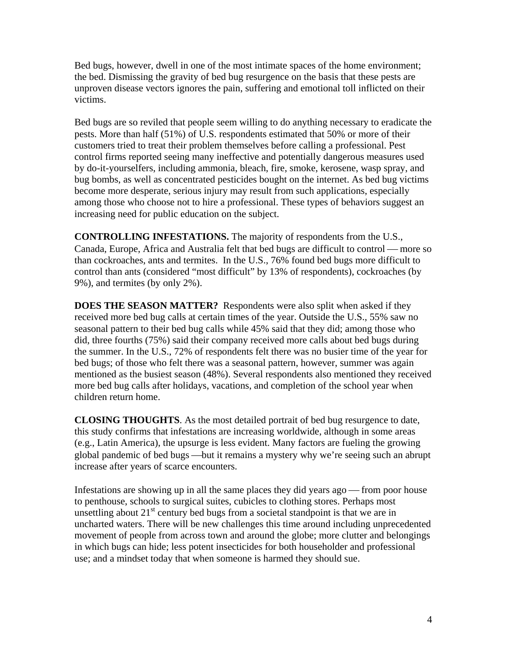Bed bugs, however, dwell in one of the most intimate spaces of the home environment; the bed. Dismissing the gravity of bed bug resurgence on the basis that these pests are unproven disease vectors ignores the pain, suffering and emotional toll inflicted on their victims.

Bed bugs are so reviled that people seem willing to do anything necessary to eradicate the pests. More than half (51%) of U.S. respondents estimated that 50% or more of their customers tried to treat their problem themselves before calling a professional. Pest control firms reported seeing many ineffective and potentially dangerous measures used by do-it-yourselfers, including ammonia, bleach, fire, smoke, kerosene, wasp spray, and bug bombs, as well as concentrated pesticides bought on the internet. As bed bug victims become more desperate, serious injury may result from such applications, especially among those who choose not to hire a professional. These types of behaviors suggest an increasing need for public education on the subject.

**CONTROLLING INFESTATIONS.** The majority of respondents from the U.S., Canada, Europe, Africa and Australia felt that bed bugs are difficult to control — more so than cockroaches, ants and termites. In the U.S., 76% found bed bugs more difficult to control than ants (considered "most difficult" by 13% of respondents), cockroaches (by 9%), and termites (by only 2%).

**DOES THE SEASON MATTER?** Respondents were also split when asked if they received more bed bug calls at certain times of the year. Outside the U.S., 55% saw no seasonal pattern to their bed bug calls while 45% said that they did; among those who did, three fourths (75%) said their company received more calls about bed bugs during the summer. In the U.S., 72% of respondents felt there was no busier time of the year for bed bugs; of those who felt there was a seasonal pattern, however, summer was again mentioned as the busiest season (48%). Several respondents also mentioned they received more bed bug calls after holidays, vacations, and completion of the school year when children return home.

**CLOSING THOUGHTS**. As the most detailed portrait of bed bug resurgence to date, this study confirms that infestations are increasing worldwide, although in some areas (e.g., Latin America), the upsurge is less evident. Many factors are fueling the growing global pandemic of bed bugs —but it remains a mystery why we're seeing such an abrupt increase after years of scarce encounters.

Infestations are showing up in all the same places they did years ago  $-$  from poor house to penthouse, schools to surgical suites, cubicles to clothing stores. Perhaps most unsettling about  $21<sup>st</sup>$  century bed bugs from a societal standpoint is that we are in uncharted waters. There will be new challenges this time around including unprecedented movement of people from across town and around the globe; more clutter and belongings in which bugs can hide; less potent insecticides for both householder and professional use; and a mindset today that when someone is harmed they should sue.